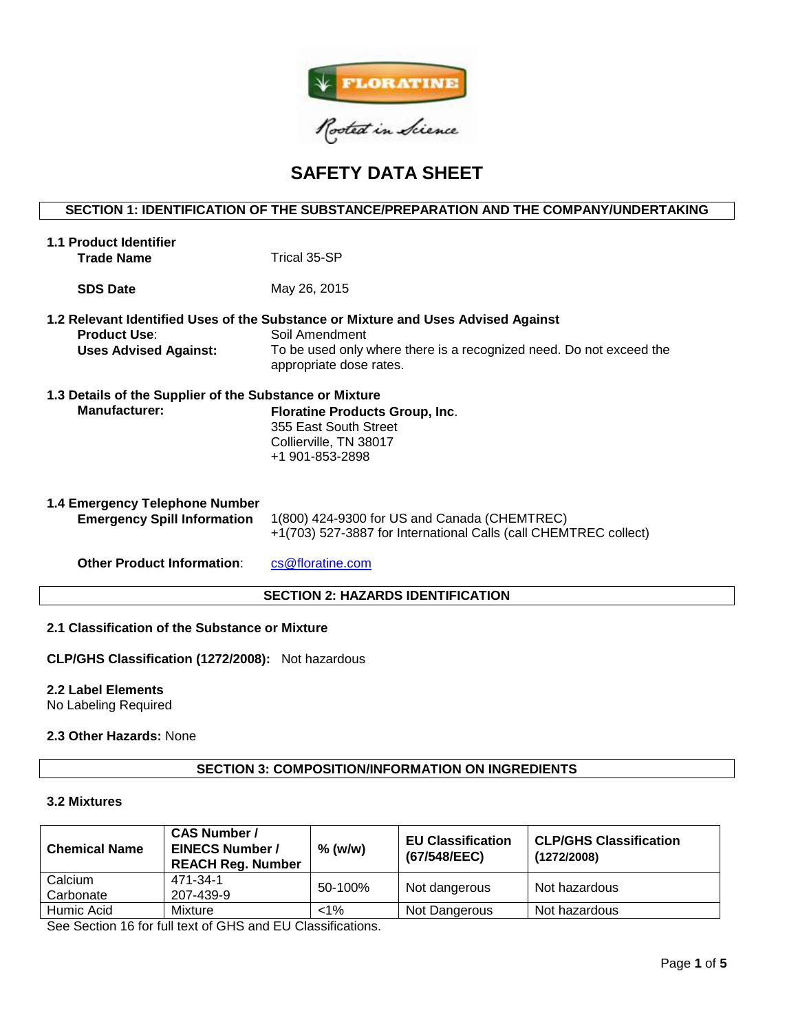

# **SAFETY DATA SHEET**

# **SECTION 1: IDENTIFICATION OF THE SUBSTANCE/PREPARATION AND THE COMPANY/UNDERTAKING**

| <b>1.1 Product Identifier</b><br><b>Trade Name</b>                              | Trical 35-SP                                                                                                                                                                                          |  |  |
|---------------------------------------------------------------------------------|-------------------------------------------------------------------------------------------------------------------------------------------------------------------------------------------------------|--|--|
| <b>SDS Date</b>                                                                 | May 26, 2015                                                                                                                                                                                          |  |  |
| <b>Product Use:</b><br><b>Uses Advised Against:</b>                             | 1.2 Relevant Identified Uses of the Substance or Mixture and Uses Advised Against<br>Soil Amendment<br>To be used only where there is a recognized need. Do not exceed the<br>appropriate dose rates. |  |  |
| 1.3 Details of the Supplier of the Substance or Mixture<br><b>Manufacturer:</b> | <b>Floratine Products Group, Inc.</b><br>355 East South Street<br>Collierville, TN 38017<br>+1 901-853-2898                                                                                           |  |  |
| 1.4 Emergency Telephone Number<br><b>Emergency Spill Information</b>            | 1(800) 424-9300 for US and Canada (CHEMTREC)<br>+1(703) 527-3887 for International Calls (call CHEMTREC collect)                                                                                      |  |  |
| <b>Other Product Information:</b>                                               | cs@floratine.com                                                                                                                                                                                      |  |  |
| <b>SECTION 2: HAZARDS IDENTIFICATION</b>                                        |                                                                                                                                                                                                       |  |  |

#### **2.1 Classification of the Substance or Mixture**

**CLP/GHS Classification (1272/2008):** Not hazardous

# **2.2 Label Elements**

No Labeling Required

# **2.3 Other Hazards:** None

#### **SECTION 3: COMPOSITION/INFORMATION ON INGREDIENTS**

#### **3.2 Mixtures**

| <b>Chemical Name</b> | <b>CAS Number /</b><br><b>EINECS Number /</b><br><b>REACH Reg. Number</b> | $%$ (w/w) | <b>EU Classification</b><br>(67/548/EEC) | <b>CLP/GHS Classification</b><br>(1272/2008) |  |
|----------------------|---------------------------------------------------------------------------|-----------|------------------------------------------|----------------------------------------------|--|
| Calcium              | 471-34-1                                                                  | 50-100%   | Not dangerous                            | Not hazardous                                |  |
| Carbonate            | 207-439-9                                                                 |           |                                          |                                              |  |
| Humic Acid           | Mixture                                                                   | $< 1\%$   | Not Dangerous                            | Not hazardous                                |  |

See Section 16 for full text of GHS and EU Classifications.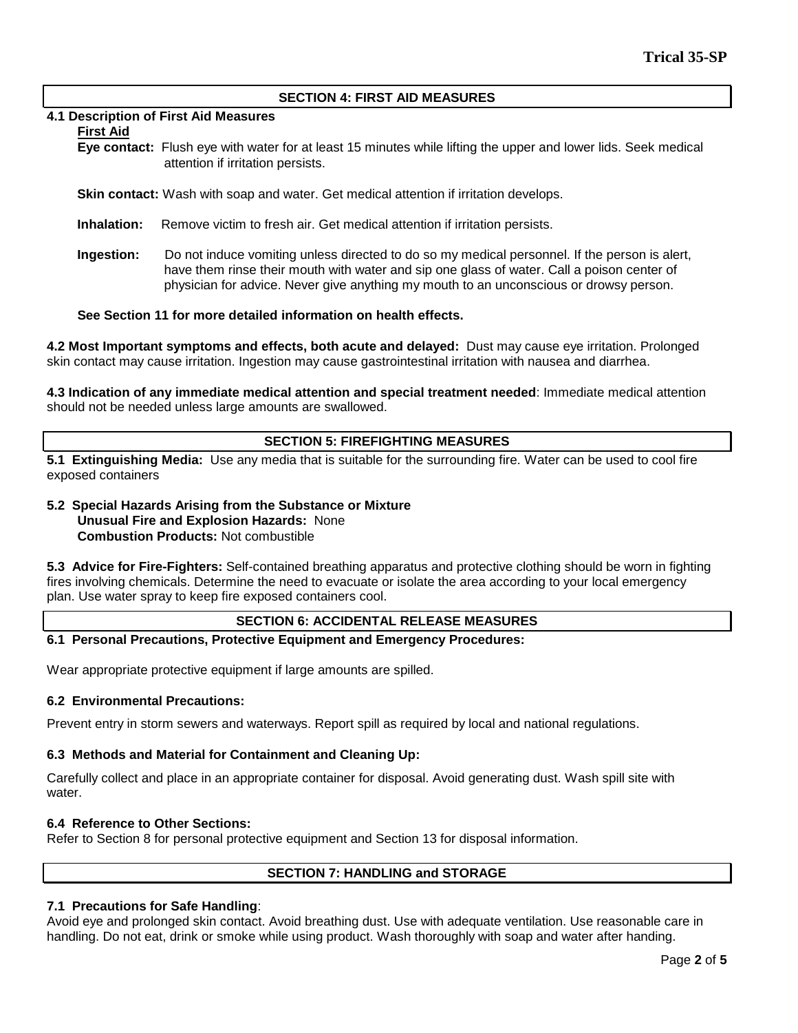#### **SECTION 4: FIRST AID MEASURES**

#### **4.1 Description of First Aid Measures**

#### **First Aid**

- **Eye contact:** Flush eye with water for at least 15 minutes while lifting the upper and lower lids. Seek medical attention if irritation persists.
- **Skin contact:** Wash with soap and water. Get medical attention if irritation develops.
- **Inhalation:** Remove victim to fresh air. Get medical attention if irritation persists.
- **Ingestion:** Do not induce vomiting unless directed to do so my medical personnel. If the person is alert, have them rinse their mouth with water and sip one glass of water. Call a poison center of physician for advice. Never give anything my mouth to an unconscious or drowsy person.

# **See Section 11 for more detailed information on health effects.**

**4.2 Most Important symptoms and effects, both acute and delayed:** Dust may cause eye irritation. Prolonged skin contact may cause irritation. Ingestion may cause gastrointestinal irritation with nausea and diarrhea.

**4.3 Indication of any immediate medical attention and special treatment needed**: Immediate medical attention should not be needed unless large amounts are swallowed.

#### **SECTION 5: FIREFIGHTING MEASURES**

**5.1 Extinguishing Media:** Use any media that is suitable for the surrounding fire. Water can be used to cool fire exposed containers

# **5.2 Special Hazards Arising from the Substance or Mixture Unusual Fire and Explosion Hazards:** None **Combustion Products:** Not combustible

**5.3 Advice for Fire-Fighters:** Self-contained breathing apparatus and protective clothing should be worn in fighting fires involving chemicals. Determine the need to evacuate or isolate the area according to your local emergency plan. Use water spray to keep fire exposed containers cool.

#### **SECTION 6: ACCIDENTAL RELEASE MEASURES**

### **6.1 Personal Precautions, Protective Equipment and Emergency Procedures:**

Wear appropriate protective equipment if large amounts are spilled.

#### **6.2 Environmental Precautions:**

Prevent entry in storm sewers and waterways. Report spill as required by local and national regulations.

#### **6.3 Methods and Material for Containment and Cleaning Up:**

Carefully collect and place in an appropriate container for disposal. Avoid generating dust. Wash spill site with water.

#### **6.4 Reference to Other Sections:**

Refer to Section 8 for personal protective equipment and Section 13 for disposal information.

#### **SECTION 7: HANDLING and STORAGE**

# **7.1 Precautions for Safe Handling**:

Avoid eye and prolonged skin contact. Avoid breathing dust. Use with adequate ventilation. Use reasonable care in handling. Do not eat, drink or smoke while using product. Wash thoroughly with soap and water after handing.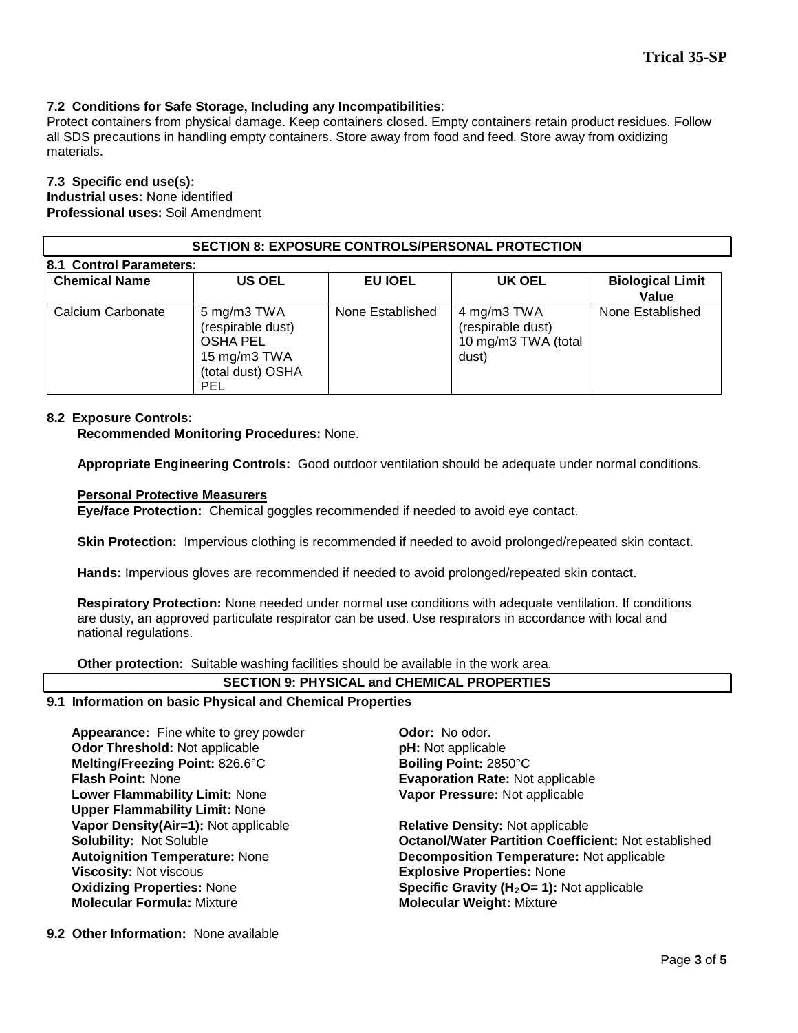# **7.2 Conditions for Safe Storage, Including any Incompatibilities**:

Protect containers from physical damage. Keep containers closed. Empty containers retain product residues. Follow all SDS precautions in handling empty containers. Store away from food and feed. Store away from oxidizing materials.

#### **7.3 Specific end use(s):**

**Industrial uses:** None identified **Professional uses:** Soil Amendment

#### **SECTION 8: EXPOSURE CONTROLS/PERSONAL PROTECTION**

| <b>Chemical Name</b> | <b>US OEL</b>                                                                                          | <b>EU IOEL</b>   | UK OEL                                                           | <b>Biological Limit</b><br>Value |
|----------------------|--------------------------------------------------------------------------------------------------------|------------------|------------------------------------------------------------------|----------------------------------|
| Calcium Carbonate    | 5 mg/m3 TWA<br>(respirable dust)<br><b>OSHA PEL</b><br>15 mg/m3 TWA<br>(total dust) OSHA<br><b>PEL</b> | None Established | 4 mg/m3 TWA<br>(respirable dust)<br>10 mg/m3 TWA (total<br>dust) | None Established                 |

#### **8.2 Exposure Controls:**

#### **Recommended Monitoring Procedures:** None.

**Appropriate Engineering Controls:** Good outdoor ventilation should be adequate under normal conditions.

#### **Personal Protective Measurers**

**Eye/face Protection:** Chemical goggles recommended if needed to avoid eye contact.

**Skin Protection:** Impervious clothing is recommended if needed to avoid prolonged/repeated skin contact.

**Hands:** Impervious gloves are recommended if needed to avoid prolonged/repeated skin contact.

**Respiratory Protection:** None needed under normal use conditions with adequate ventilation. If conditions are dusty, an approved particulate respirator can be used. Use respirators in accordance with local and national regulations.

**Other protection:** Suitable washing facilities should be available in the work area.

# **SECTION 9: PHYSICAL and CHEMICAL PROPERTIES**

#### **9.1 Information on basic Physical and Chemical Properties**

Appearance: Fine white to grey powder **Odor: No odor. Odor Threshold:** Not applicable **pH:** Not applicable **Melting/Freezing Point:** 826.6°C **Boiling Point:** 2850°C **Flash Point:** None **Evaporation Rate:** Not applicable **Lower Flammability Limit:** None **Upper Flammability Limit:** None **Vapor Density(Air=1):** Not applicable **Relative Density: Not applicable Solubility: Not Soluble 30**<br>**Colubility: Not Soluble 1999 Viscosity:** Not viscous **Explosive Properties:** None

**Vapor Pressure:** Not applicable

**Octanol/Water Partition Coefficient: Not established Autoignition Temperature:** None **Decomposition Temperature:** Not applicable **Oxidizing Properties:** None **Specific Gravity (H2O= 1):** Not applicable **Molecular Weight: Mixture** 

**9.2 Other Information:** None available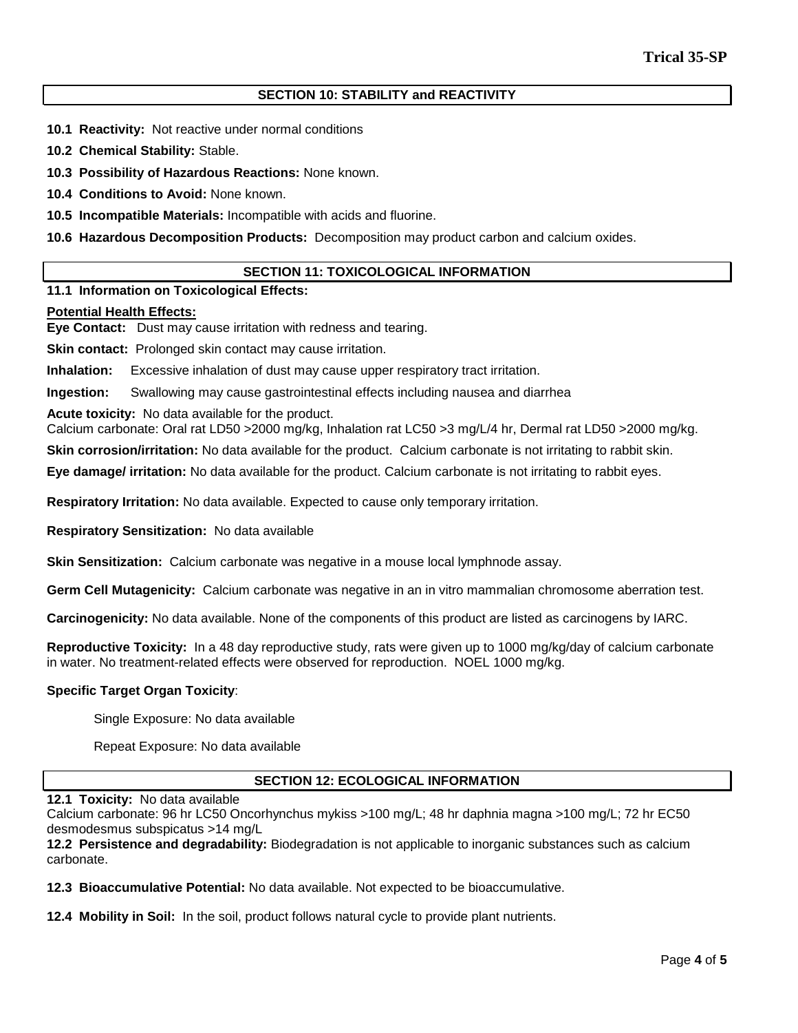# **SECTION 10: STABILITY and REACTIVITY**

- **10.1 Reactivity:** Not reactive under normal conditions
- **10.2 Chemical Stability:** Stable.
- **10.3 Possibility of Hazardous Reactions:** None known.
- **10.4 Conditions to Avoid:** None known.
- **10.5 Incompatible Materials:** Incompatible with acids and fluorine.
- **10.6 Hazardous Decomposition Products:** Decomposition may product carbon and calcium oxides.

#### **SECTION 11: TOXICOLOGICAL INFORMATION**

#### **11.1 Information on Toxicological Effects:**

#### **Potential Health Effects:**

**Eye Contact:** Dust may cause irritation with redness and tearing.

**Skin contact:** Prolonged skin contact may cause irritation.

**Inhalation:** Excessive inhalation of dust may cause upper respiratory tract irritation.

**Ingestion:** Swallowing may cause gastrointestinal effects including nausea and diarrhea

**Acute toxicity:** No data available for the product.

Calcium carbonate: Oral rat LD50 >2000 mg/kg, Inhalation rat LC50 >3 mg/L/4 hr, Dermal rat LD50 >2000 mg/kg.

**Skin corrosion/irritation:** No data available for the product. Calcium carbonate is not irritating to rabbit skin.

**Eye damage/ irritation:** No data available for the product. Calcium carbonate is not irritating to rabbit eyes.

**Respiratory Irritation:** No data available. Expected to cause only temporary irritation.

**Respiratory Sensitization:** No data available

**Skin Sensitization:** Calcium carbonate was negative in a mouse local lymphnode assay.

**Germ Cell Mutagenicity:** Calcium carbonate was negative in an in vitro mammalian chromosome aberration test.

**Carcinogenicity:** No data available. None of the components of this product are listed as carcinogens by IARC.

**Reproductive Toxicity:** In a 48 day reproductive study, rats were given up to 1000 mg/kg/day of calcium carbonate in water. No treatment-related effects were observed for reproduction. NOEL 1000 mg/kg.

#### **Specific Target Organ Toxicity**:

Single Exposure: No data available

Repeat Exposure: No data available

#### **SECTION 12: ECOLOGICAL INFORMATION**

#### **12.1 Toxicity:** No data available

Calcium carbonate: 96 hr LC50 Oncorhynchus mykiss >100 mg/L; 48 hr daphnia magna >100 mg/L; 72 hr EC50 desmodesmus subspicatus >14 mg/L

**12.2 Persistence and degradability:** Biodegradation is not applicable to inorganic substances such as calcium carbonate.

**12.3 Bioaccumulative Potential:** No data available. Not expected to be bioaccumulative.

**12.4 Mobility in Soil:** In the soil, product follows natural cycle to provide plant nutrients.